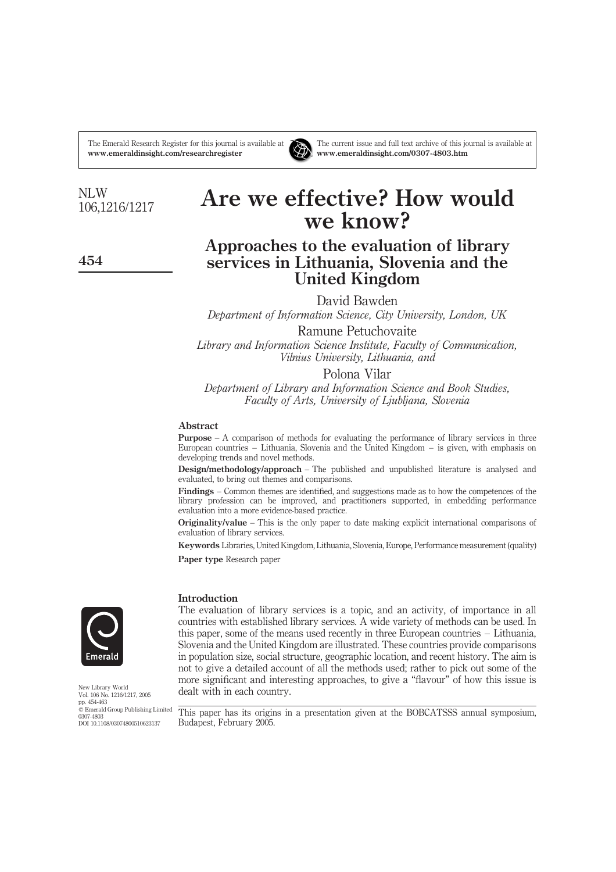The Emerald Research Register for this journal is available at The current issue and full text archive of this journal is available at www.emeraldinsight.com/researchregister www.emeraldinsight.com/0307-4803.htm

NLW 106,1216/1217

454

Are we effective? How would we know?

# Approaches to the evaluation of library services in Lithuania, Slovenia and the United Kingdom

David Bawden

Department of Information Science, City University, London, UK

Ramune Petuchovaite

Library and Information Science Institute, Faculty of Communication, Vilnius University, Lithuania, and

### Polona Vilar

Department of Library and Information Science and Book Studies, Faculty of Arts, University of Ljubljana, Slovenia

#### Abstract

Purpose – A comparison of methods for evaluating the performance of library services in three European countries – Lithuania, Slovenia and the United Kingdom – is given, with emphasis on developing trends and novel methods.

Design/methodology/approach – The published and unpublished literature is analysed and evaluated, to bring out themes and comparisons.

Findings – Common themes are identified, and suggestions made as to how the competences of the library profession can be improved, and practitioners supported, in embedding performance evaluation into a more evidence-based practice.

Originality/value – This is the only paper to date making explicit international comparisons of evaluation of library services.

Keywords Libraries, United Kingdom, Lithuania, Slovenia, Europe, Performance measurement (quality) Paper type Research paper



New Library World Vol. 106 No. 1216/1217, 2005 pp. 454-463 q Emerald Group Publishing Limited 0307-4803 DOI 10.1108/03074800510623137

#### Introduction

The evaluation of library services is a topic, and an activity, of importance in all countries with established library services. A wide variety of methods can be used. In this paper, some of the means used recently in three European countries – Lithuania, Slovenia and the United Kingdom are illustrated. These countries provide comparisons in population size, social structure, geographic location, and recent history. The aim is not to give a detailed account of all the methods used; rather to pick out some of the more significant and interesting approaches, to give a "flavour" of how this issue is dealt with in each country.

This paper has its origins in a presentation given at the BOBCATSSS annual symposium, Budapest, February 2005.

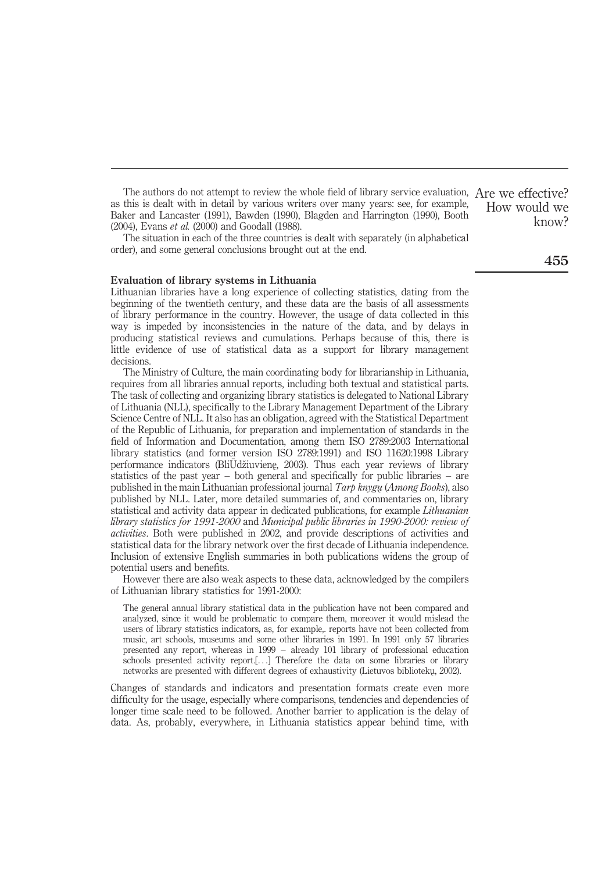The authors do not attempt to review the whole field of library service evaluation, Are we effective? as this is dealt with in detail by various writers over many years: see, for example, Baker and Lancaster (1991), Bawden (1990), Blagden and Harrington (1990), Booth (2004), Evans et al. (2000) and Goodall (1988).

The situation in each of the three countries is dealt with separately (in alphabetical order), and some general conclusions brought out at the end.

#### Evaluation of library systems in Lithuania

Lithuanian libraries have a long experience of collecting statistics, dating from the beginning of the twentieth century, and these data are the basis of all assessments of library performance in the country. However, the usage of data collected in this way is impeded by inconsistencies in the nature of the data, and by delays in producing statistical reviews and cumulations. Perhaps because of this, there is little evidence of use of statistical data as a support for library management decisions.

The Ministry of Culture, the main coordinating body for librarianship in Lithuania, requires from all libraries annual reports, including both textual and statistical parts. The task of collecting and organizing library statistics is delegated to National Library of Lithuania (NLL), specifically to the Library Management Department of the Library Science Centre of NLL. It also has an obligation, agreed with the Statistical Department of the Republic of Lithuania, for preparation and implementation of standards in the field of Information and Documentation, among them ISO 2789:2003 International library statistics (and former version ISO 2789:1991) and ISO 11620:1998 Library performance indicators (BliU $\overline{U}$ džiuviene, 2003). Thus each year reviews of library statistics of the past year – both general and specifically for public libraries – are published in the main Lithuanian professional journal  $T$ arp knygu (Among Books), also published by NLL. Later, more detailed summaries of, and commentaries on, library statistical and activity data appear in dedicated publications, for example *Lithuanian* library statistics for 1991-2000 and Municipal public libraries in 1990-2000: review of activities. Both were published in 2002, and provide descriptions of activities and statistical data for the library network over the first decade of Lithuania independence. Inclusion of extensive English summaries in both publications widens the group of potential users and benefits.

However there are also weak aspects to these data, acknowledged by the compilers of Lithuanian library statistics for 1991-2000:

The general annual library statistical data in the publication have not been compared and analyzed, since it would be problematic to compare them, moreover it would mislead the users of library statistics indicators, as, for example,. reports have not been collected from music, art schools, museums and some other libraries in 1991. In 1991 only 57 libraries presented any report, whereas in 1999 – already 101 library of professional education schools presented activity report.[...] Therefore the data on some libraries or library networks are presented with different degrees of exhaustivity (Lietuvos biblioteku, 2002).

Changes of standards and indicators and presentation formats create even more difficulty for the usage, especially where comparisons, tendencies and dependencies of longer time scale need to be followed. Another barrier to application is the delay of data. As, probably, everywhere, in Lithuania statistics appear behind time, with How would we know?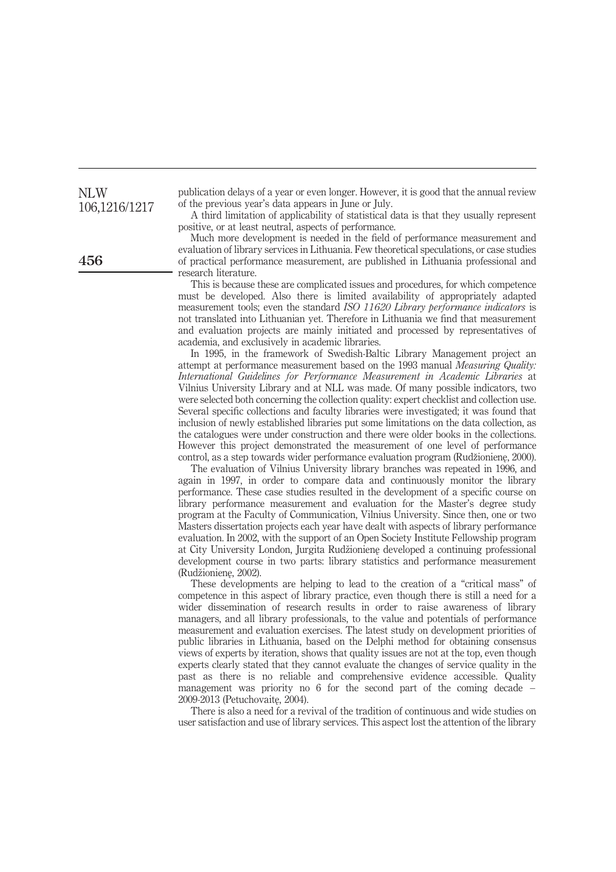### NLW 106,1216/1217

publication delays of a year or even longer. However, it is good that the annual review of the previous year's data appears in June or July.

A third limitation of applicability of statistical data is that they usually represent positive, or at least neutral, aspects of performance.

Much more development is needed in the field of performance measurement and evaluation of library services in Lithuania. Few theoretical speculations, or case studies of practical performance measurement, are published in Lithuania professional and research literature.

This is because these are complicated issues and procedures, for which competence must be developed. Also there is limited availability of appropriately adapted measurement tools; even the standard ISO 11620 Library performance indicators is not translated into Lithuanian yet. Therefore in Lithuania we find that measurement and evaluation projects are mainly initiated and processed by representatives of academia, and exclusively in academic libraries.

In 1995, in the framework of Swedish-Baltic Library Management project an attempt at performance measurement based on the 1993 manual Measuring Quality: International Guidelines for Performance Measurement in Academic Libraries at Vilnius University Library and at NLL was made. Of many possible indicators, two were selected both concerning the collection quality: expert checklist and collection use. Several specific collections and faculty libraries were investigated; it was found that inclusion of newly established libraries put some limitations on the data collection, as the catalogues were under construction and there were older books in the collections. However this project demonstrated the measurement of one level of performance control, as a step towards wider performance evaluation program (Rudžioniene, 2000).

The evaluation of Vilnius University library branches was repeated in 1996, and again in 1997, in order to compare data and continuously monitor the library performance. These case studies resulted in the development of a specific course on library performance measurement and evaluation for the Master's degree study program at the Faculty of Communication, Vilnius University. Since then, one or two Masters dissertation projects each year have dealt with aspects of library performance evaluation. In 2002, with the support of an Open Society Institute Fellowship program at City University London, Jurgita Rudžioniene developed a continuing professional development course in two parts: library statistics and performance measurement (Rudžioniene, 2002).

These developments are helping to lead to the creation of a "critical mass" of competence in this aspect of library practice, even though there is still a need for a wider dissemination of research results in order to raise awareness of library managers, and all library professionals, to the value and potentials of performance measurement and evaluation exercises. The latest study on development priorities of public libraries in Lithuania, based on the Delphi method for obtaining consensus views of experts by iteration, shows that quality issues are not at the top, even though experts clearly stated that they cannot evaluate the changes of service quality in the past as there is no reliable and comprehensive evidence accessible. Quality management was priority no 6 for the second part of the coming decade – 2009-2013 (Petuchovaite, 2004).

There is also a need for a revival of the tradition of continuous and wide studies on user satisfaction and use of library services. This aspect lost the attention of the library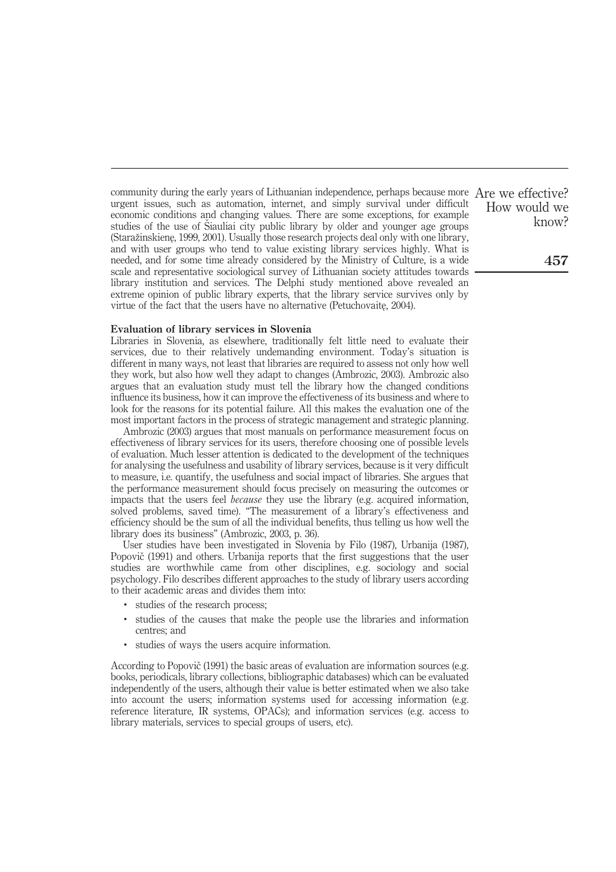community during the early years of Lithuanian independence, perhaps because more Are we effective? urgent issues, such as automation, internet, and simply survival under difficult economic conditions and changing values. There are some exceptions, for example studies of the use of Siauliai city public library by older and younger age groups (Staražinskiene, 1999, 2001). Usually those research projects deal only with one library, and with user groups who tend to value existing library services highly. What is needed, and for some time already considered by the Ministry of Culture, is a wide scale and representative sociological survey of Lithuanian society attitudes towards library institution and services. The Delphi study mentioned above revealed an extreme opinion of public library experts, that the library service survives only by virtue of the fact that the users have no alternative (Petuchovaite, 2004).

#### Evaluation of library services in Slovenia

Libraries in Slovenia, as elsewhere, traditionally felt little need to evaluate their services, due to their relatively undemanding environment. Today's situation is different in many ways, not least that libraries are required to assess not only how well they work, but also how well they adapt to changes (Ambrozic, 2003). Ambrozic also argues that an evaluation study must tell the library how the changed conditions influence its business, how it can improve the effectiveness of its business and where to look for the reasons for its potential failure. All this makes the evaluation one of the most important factors in the process of strategic management and strategic planning.

Ambrozic (2003) argues that most manuals on performance measurement focus on effectiveness of library services for its users, therefore choosing one of possible levels of evaluation. Much lesser attention is dedicated to the development of the techniques for analysing the usefulness and usability of library services, because is it very difficult to measure, i.e. quantify, the usefulness and social impact of libraries. She argues that the performance measurement should focus precisely on measuring the outcomes or impacts that the users feel because they use the library (e.g. acquired information, solved problems, saved time). "The measurement of a library's effectiveness and efficiency should be the sum of all the individual benefits, thus telling us how well the library does its business" (Ambrozic, 2003, p. 36).

User studies have been investigated in Slovenia by Filo (1987), Urbanija (1987), Popovič (1991) and others. Urbanija reports that the first suggestions that the user studies are worthwhile came from other disciplines, e.g. sociology and social psychology. Filo describes different approaches to the study of library users according to their academic areas and divides them into:

- . studies of the research process;
- . studies of the causes that make the people use the libraries and information centres; and
- . studies of ways the users acquire information.

According to Popovič  $(1991)$  the basic areas of evaluation are information sources (e.g. books, periodicals, library collections, bibliographic databases) which can be evaluated independently of the users, although their value is better estimated when we also take into account the users; information systems used for accessing information (e.g. reference literature, IR systems, OPACs); and information services (e.g. access to library materials, services to special groups of users, etc).

How would we know?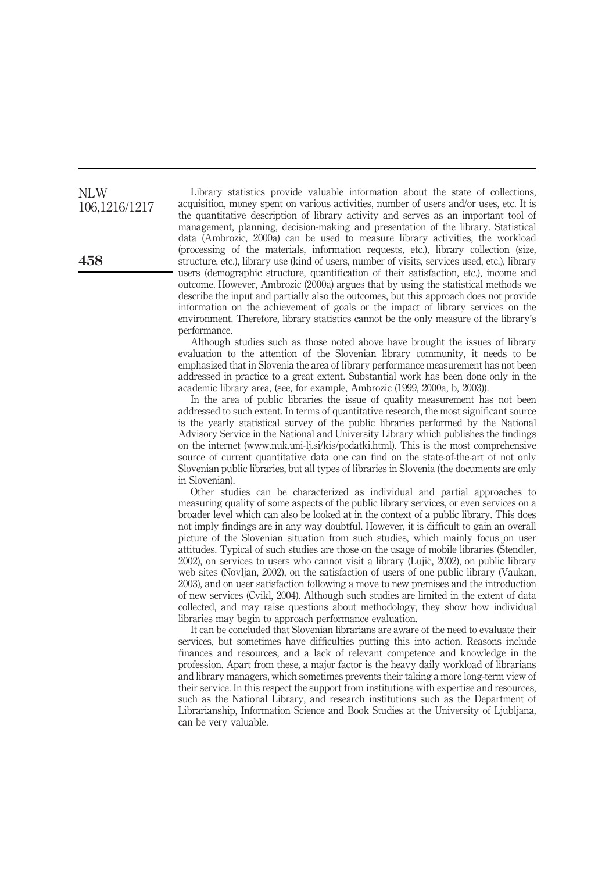### NLW 106,1216/1217

458

Library statistics provide valuable information about the state of collections, acquisition, money spent on various activities, number of users and/or uses, etc. It is the quantitative description of library activity and serves as an important tool of management, planning, decision-making and presentation of the library. Statistical data (Ambrozic, 2000a) can be used to measure library activities, the workload (processing of the materials, information requests, etc.), library collection (size, structure, etc.), library use (kind of users, number of visits, services used, etc.), library users (demographic structure, quantification of their satisfaction, etc.), income and outcome. However, Ambrozic (2000a) argues that by using the statistical methods we describe the input and partially also the outcomes, but this approach does not provide information on the achievement of goals or the impact of library services on the environment. Therefore, library statistics cannot be the only measure of the library's performance.

Although studies such as those noted above have brought the issues of library evaluation to the attention of the Slovenian library community, it needs to be emphasized that in Slovenia the area of library performance measurement has not been addressed in practice to a great extent. Substantial work has been done only in the academic library area, (see, for example, Ambrozic (1999, 2000a, b, 2003)).

In the area of public libraries the issue of quality measurement has not been addressed to such extent. In terms of quantitative research, the most significant source is the yearly statistical survey of the public libraries performed by the National Advisory Service in the National and University Library which publishes the findings on the internet (www.nuk.uni-lj.si/kis/podatki.html). This is the most comprehensive source of current quantitative data one can find on the state-of-the-art of not only Slovenian public libraries, but all types of libraries in Slovenia (the documents are only in Slovenian).

Other studies can be characterized as individual and partial approaches to measuring quality of some aspects of the public library services, or even services on a broader level which can also be looked at in the context of a public library. This does not imply findings are in any way doubtful. However, it is difficult to gain an overall picture of the Slovenian situation from such studies, which mainly focus on user attitudes. Typical of such studies are those on the usage of mobile libraries (Stendler, 2002), on services to users who cannot visit a library (Lujić, 2002), on public library web sites (Novljan, 2002), on the satisfaction of users of one public library (Vaukan, 2003), and on user satisfaction following a move to new premises and the introduction of new services (Cvikl, 2004). Although such studies are limited in the extent of data collected, and may raise questions about methodology, they show how individual libraries may begin to approach performance evaluation.

It can be concluded that Slovenian librarians are aware of the need to evaluate their services, but sometimes have difficulties putting this into action. Reasons include finances and resources, and a lack of relevant competence and knowledge in the profession. Apart from these, a major factor is the heavy daily workload of librarians and library managers, which sometimes prevents their taking a more long-term view of their service. In this respect the support from institutions with expertise and resources, such as the National Library, and research institutions such as the Department of Librarianship, Information Science and Book Studies at the University of Ljubljana, can be very valuable.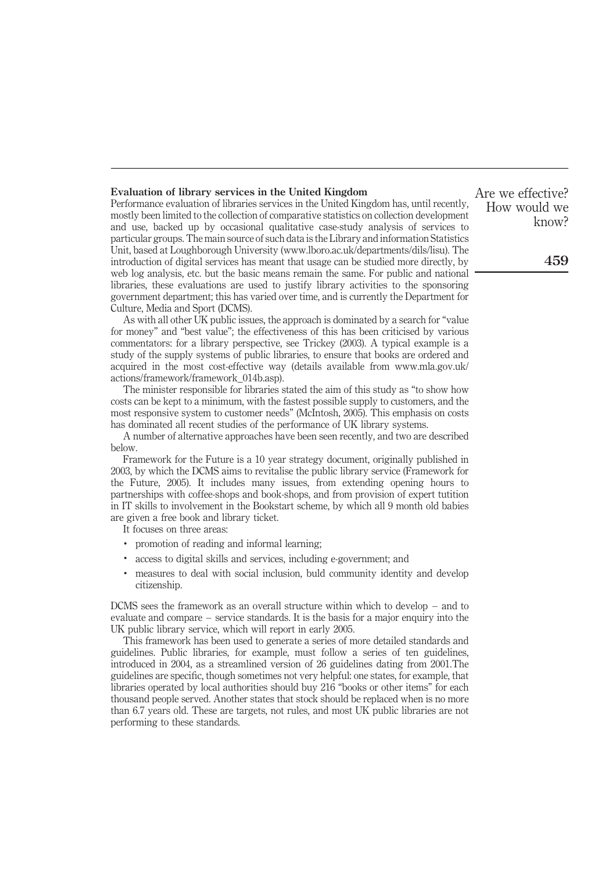#### Evaluation of library services in the United Kingdom

Performance evaluation of libraries services in the United Kingdom has, until recently, mostly been limited to the collection of comparative statistics on collection development and use, backed up by occasional qualitative case-study analysis of services to particular groups. The main source of such data is the Library and information Statistics Unit, based at Loughborough University (www.lboro.ac.uk/departments/dils/lisu). The introduction of digital services has meant that usage can be studied more directly, by web log analysis, etc. but the basic means remain the same. For public and national libraries, these evaluations are used to justify library activities to the sponsoring government department; this has varied over time, and is currently the Department for Culture, Media and Sport (DCMS).

As with all other UK public issues, the approach is dominated by a search for "value for money" and "best value"; the effectiveness of this has been criticised by various commentators: for a library perspective, see Trickey (2003). A typical example is a study of the supply systems of public libraries, to ensure that books are ordered and acquired in the most cost-effective way (details available from www.mla.gov.uk/ actions/framework/framework\_014b.asp).

The minister responsible for libraries stated the aim of this study as "to show how costs can be kept to a minimum, with the fastest possible supply to customers, and the most responsive system to customer needs" (McIntosh, 2005). This emphasis on costs has dominated all recent studies of the performance of UK library systems.

A number of alternative approaches have been seen recently, and two are described below.

Framework for the Future is a 10 year strategy document, originally published in 2003, by which the DCMS aims to revitalise the public library service (Framework for the Future, 2005). It includes many issues, from extending opening hours to partnerships with coffee-shops and book-shops, and from provision of expert tutition in IT skills to involvement in the Bookstart scheme, by which all 9 month old babies are given a free book and library ticket.

It focuses on three areas:

- . promotion of reading and informal learning;
- . access to digital skills and services, including e-government; and
- . measures to deal with social inclusion, buld community identity and develop citizenship.

DCMS sees the framework as an overall structure within which to develop – and to evaluate and compare – service standards. It is the basis for a major enquiry into the UK public library service, which will report in early 2005.

This framework has been used to generate a series of more detailed standards and guidelines. Public libraries, for example, must follow a series of ten guidelines, introduced in 2004, as a streamlined version of 26 guidelines dating from 2001.The guidelines are specific, though sometimes not very helpful: one states, for example, that libraries operated by local authorities should buy 216 "books or other items" for each thousand people served. Another states that stock should be replaced when is no more than 6.7 years old. These are targets, not rules, and most UK public libraries are not performing to these standards.

Are we effective? How would we know?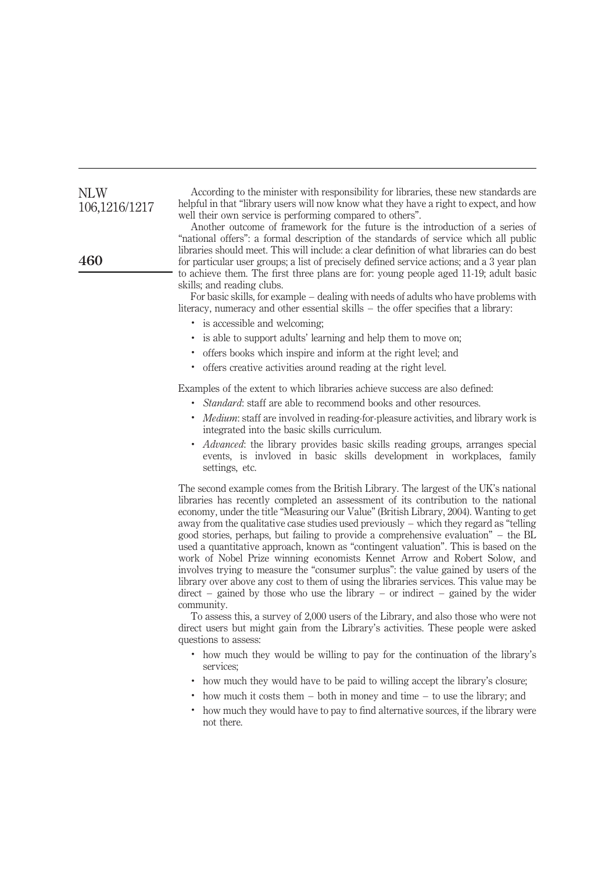## NLW 106,1216/1217

460

According to the minister with responsibility for libraries, these new standards are helpful in that "library users will now know what they have a right to expect, and how well their own service is performing compared to others".

Another outcome of framework for the future is the introduction of a series of "national offers": a formal description of the standards of service which all public libraries should meet. This will include: a clear definition of what libraries can do best for particular user groups; a list of precisely defined service actions; and a 3 year plan to achieve them. The first three plans are for: young people aged 11-19; adult basic skills; and reading clubs.

For basic skills, for example – dealing with needs of adults who have problems with literacy, numeracy and other essential skills – the offer specifies that a library:

- . is accessible and welcoming;
- . is able to support adults' learning and help them to move on;
- . offers books which inspire and inform at the right level; and
- . offers creative activities around reading at the right level.

Examples of the extent to which libraries achieve success are also defined:

- . Standard: staff are able to recommend books and other resources.
- . Medium: staff are involved in reading-for-pleasure activities, and library work is integrated into the basic skills curriculum.
- . Advanced: the library provides basic skills reading groups, arranges special events, is invloved in basic skills development in workplaces, family settings, etc.

The second example comes from the British Library. The largest of the UK's national libraries has recently completed an assessment of its contribution to the national economy, under the title "Measuring our Value" (British Library, 2004). Wanting to get away from the qualitative case studies used previously – which they regard as "telling good stories, perhaps, but failing to provide a comprehensive evaluation" – the BL used a quantitative approach, known as "contingent valuation". This is based on the work of Nobel Prize winning economists Kennet Arrow and Robert Solow, and involves trying to measure the "consumer surplus": the value gained by users of the library over above any cost to them of using the libraries services. This value may be  $direct - gained by those who use the library - or indirect - gained by the wider$ community.

To assess this, a survey of 2,000 users of the Library, and also those who were not direct users but might gain from the Library's activities. These people were asked questions to assess:

- . how much they would be willing to pay for the continuation of the library's services;
- . how much they would have to be paid to willing accept the library's closure;
- $\cdot$  how much it costs them both in money and time to use the library; and
- . how much they would have to pay to find alternative sources, if the library were not there.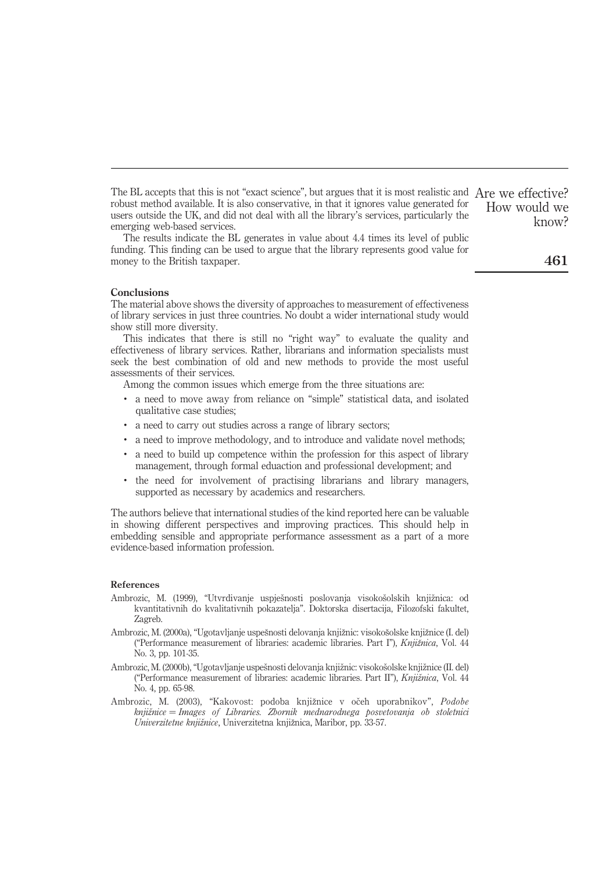The BL accepts that this is not "exact science", but argues that it is most realistic and Are we effective? robust method available. It is also conservative, in that it ignores value generated for users outside the UK, and did not deal with all the library's services, particularly the emerging web-based services.

The results indicate the BL generates in value about 4.4 times its level of public funding. This finding can be used to argue that the library represents good value for money to the British taxpaper.

**Conclusions** 

The material above shows the diversity of approaches to measurement of effectiveness of library services in just three countries. No doubt a wider international study would show still more diversity.

This indicates that there is still no "right way" to evaluate the quality and effectiveness of library services. Rather, librarians and information specialists must seek the best combination of old and new methods to provide the most useful assessments of their services.

Among the common issues which emerge from the three situations are:

- . a need to move away from reliance on "simple" statistical data, and isolated qualitative case studies;
- . a need to carry out studies across a range of library sectors;
- . a need to improve methodology, and to introduce and validate novel methods;
- . a need to build up competence within the profession for this aspect of library management, through formal eduaction and professional development; and
- . the need for involvement of practising librarians and library managers, supported as necessary by academics and researchers.

The authors believe that international studies of the kind reported here can be valuable in showing different perspectives and improving practices. This should help in embedding sensible and appropriate performance assessment as a part of a more evidence-based information profession.

#### References

- Ambrozic, M. (1999), "Utvrdivanje uspješnosti poslovanja visokošolskih knjižnica: od kvantitativnih do kvalitativnih pokazatelja". Doktorska disertacija, Filozofski fakultet, Zagreb.
- Ambrozic, M. (2000a), "Ugotavljanje uspešnosti delovanja knjižnic: visokošolske knjižnice (I. del) ("Performance measurement of libraries: academic libraries. Part I"), Kniižnica, Vol. 44 No. 3, pp. 101-35.
- Ambrozic, M. (2000b), "Ugotavljanje uspešnosti delovanja knjižnic: visokošolske knjižnice (II. del) ("Performance measurement of libraries: academic libraries. Part II"), *Knjižnica*, Vol. 44 No. 4, pp. 65-98.
- Ambrozic, M. (2003), "Kakovost: podoba knjižnice v očeh uporabnikov", Podobe  $k$ niižnice  $=$  Images of Libraries. Zbornik mednarodnega posvetovanja ob stoletnici Univerzitetne knjižnice, Univerzitetna knjižnica, Maribor, pp. 33-57.

How would we know?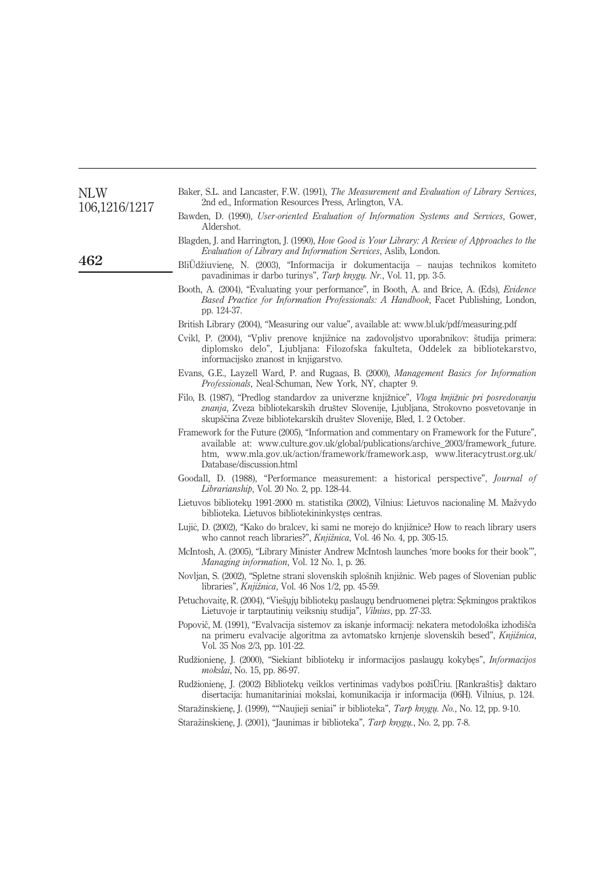| NLW           |  |
|---------------|--|
| 106,1216/1217 |  |

- Baker, S.L. and Lancaster, F.W. (1991), The Measurement and Evaluation of Library Services, 2nd ed., Information Resources Press, Arlington, VA.
- Bawden, D. (1990), User-oriented Evaluation of Information Systems and Services, Gower, Aldershot.
- Blagden, J. and Harrington, J. (1990), How Good is Your Library: A Review of Approaches to the Evaluation of Library and Information Services, Aslib, London.
- BliŪdžiuviene, N. (2003), "Informacija ir dokumentacija naujas technikos komiteto pavadinimas ir darbo turinys", Tarp knygų. Nr., Vol. 11, pp. 3-5.
- Booth, A. (2004), "Evaluating your performance", in Booth, A. and Brice, A. (Eds), Evidence Based Practice for Information Professionals: A Handbook, Facet Publishing, London, pp. 124-37.
- British Library (2004), "Measuring our value", available at: www.bl.uk/pdf/measuring.pdf
- Cvikl, P. (2004), "Vpliv prenove knjižnice na zadovoljstvo uporabnikov: študija primera: diplomsko delo", Ljubljana: Filozofska fakulteta, Oddelek za bibliotekarstvo, informacijsko znanost in knjigarstvo.
- Evans, G.E., Layzell Ward, P. and Rugaas, B. (2000), Management Basics for Information Professionals, Neal-Schuman, New York, NY, chapter 9.
- Filo, B. (1987), "Predlog standardov za univerzne knjižnice", Vloga knjižnic pri posredovanju znanja, Zveza bibliotekarskih društev Slovenije, Ljubljana, Strokovno posvetovanje in skupščina Zveze bibliotekarskih društev Slovenije, Bled, 1. 2 October.
- Framework for the Future (2005), "Information and commentary on Framework for the Future", available at: www.culture.gov.uk/global/publications/archive\_2003/framework\_future. htm, www.mla.gov.uk/action/framework/framework.asp, www.literacytrust.org.uk/ Database/discussion.html
- Goodall, D. (1988), "Performance measurement: a historical perspective", Journal of Librarianship, Vol. 20 No. 2, pp. 128-44.
- Lietuvos bibliotekų 1991-2000 m. statistika (2002), Vilnius: Lietuvos nacionalinę M. Mažvydo biblioteka. Lietuvos bibliotekininkystęs centras.
- Lujić, D. (2002), "Kako do bralcev, ki sami ne morejo do knjižnice? How to reach library users who cannot reach libraries?", Knjižnica, Vol. 46 No. 4, pp. 305-15.
- McIntosh, A. (2005), "Library Minister Andrew McIntosh launches 'more books for their book'", Managing information, Vol. 12 No. 1, p. 26.
- Novljan, S. (2002), "Spletne strani slovenskih splošnih knjižnic. Web pages of Slovenian public libraries", *Knjižnica*, Vol. 46 Nos 1/2, pp. 45-59.
- Petuchovaite, R. (2004), "Viešųjų bibliotekų paslaugų bendruomenei pletra: Sekmingos praktikos Lietuvoje ir tarptautinių veiksnių studija", Vilnius, pp. 27-33.
- Popovič, M. (1991), "Evalvacija sistemov za iskanje informacij: nekatera metodološka izhodišča na primeru evalvacije algoritma za avtomatsko krnjenje slovenskih besed", Knjižnica, Vol. 35 Nos 2/3, pp. 101-22.
- Rudžioniene, J. (2000), "Siekiant bibliotekų ir informacijos paslaugų kokybęs", Informacijos mokslai, No. 15, pp. 86-97.
- Rudžioniene, J. (2002) Biblioteku veiklos vertinimas vadybos požiŪriu. [Rankraštis]: daktaro disertacija: humanitariniai mokslai, komunikacija ir informacija (06H). Vilnius, p. 124.
- Staražinskiene, J. (1999), ""Naujieji seniai" ir biblioteka", Tarp knygu, No., No. 12, pp. 9-10.
- Staražinskienę, J. (2001), "Jaunimas ir biblioteka", Tarp knygų., No. 2, pp. 7-8.